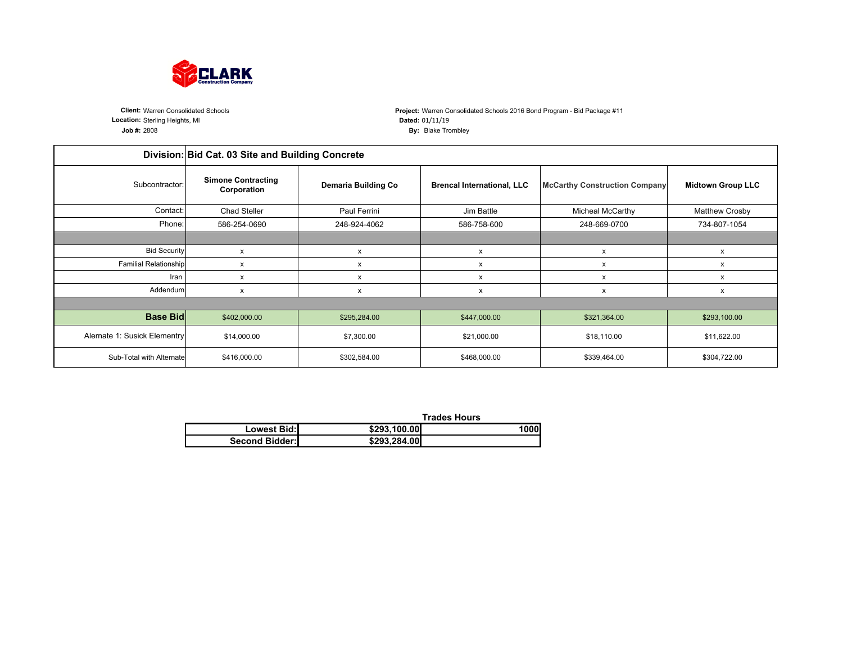

**Client: Warren Consolidated Schools Location:** Sterling Heights, MI**By:** Blake Trombley **Job #:** <sup>2808</sup>

Project: Warren Consolidated Schools 2016 Bond Program - Bid Package #11 **Dated:** 01/11/19

|                              | Division: Bid Cat. 03 Site and Building Concrete |                            |                                   |                                      |                          |  |
|------------------------------|--------------------------------------------------|----------------------------|-----------------------------------|--------------------------------------|--------------------------|--|
| Subcontractor:               | <b>Simone Contracting</b><br>Corporation         | <b>Demaria Building Co</b> | <b>Brencal International, LLC</b> | <b>McCarthy Construction Company</b> | <b>Midtown Group LLC</b> |  |
| Contact:                     | <b>Chad Steller</b>                              | Paul Ferrini               | Jim Battle                        | Micheal McCarthy                     | Matthew Crosby           |  |
| Phone:                       | 586-254-0690                                     | 248-924-4062               | 586-758-600                       | 248-669-0700                         | 734-807-1054             |  |
|                              |                                                  |                            |                                   |                                      |                          |  |
| <b>Bid Security</b>          | x                                                | X                          | x                                 | х                                    | x                        |  |
| <b>Familial Relationship</b> | $\boldsymbol{\mathsf{x}}$                        | x                          | x                                 | x                                    | x                        |  |
| Iran                         | X                                                | x                          | x                                 | x                                    | x                        |  |
| Addendum                     | X                                                | x                          | x                                 | х                                    | x                        |  |
|                              |                                                  |                            |                                   |                                      |                          |  |
| <b>Base Bid</b>              | \$402,000.00                                     | \$295,284.00               | \$447,000.00                      | \$321,364.00                         | \$293,100.00             |  |
| Alernate 1: Susick Elementry | \$14,000.00                                      | \$7,300.00                 | \$21,000.00                       | \$18,110.00                          | \$11,622.00              |  |
| Sub-Total with Alternate     | \$416,000.00                                     | \$302,584.00               | \$468,000.00                      | \$339,464.00                         | \$304,722.00             |  |

|                       | <b>Trades Hours</b> |      |
|-----------------------|---------------------|------|
| <b>Lowest Bid:</b>    | \$293.100.00        | 1000 |
| <b>Second Bidder:</b> | \$293,284,00        |      |
|                       |                     |      |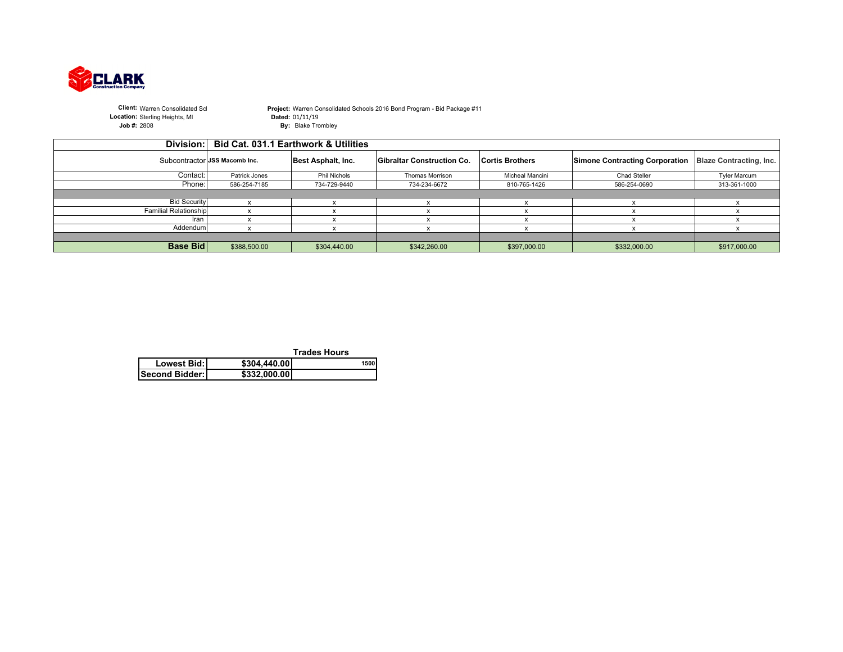

**Client: Warren Consolidated Scl Location:** Sterling Heights, MI**Job #:** <sup>2808</sup>

Project: Warren Consolidated Schools 2016 Bond Program - Bid Package #11 **Dated:** 01/11/19**By:** Blake Trombley

| Division:                    | Bid Cat. 031.1 Earthwork & Utilities |                     |                                   |                        |                                       |                                |
|------------------------------|--------------------------------------|---------------------|-----------------------------------|------------------------|---------------------------------------|--------------------------------|
|                              | Subcontractor JSS Macomb Inc.        | Best Asphalt, Inc.  | <b>Gibraltar Construction Co.</b> | <b>Cortis Brothers</b> | <b>Simone Contracting Corporation</b> | <b>Blaze Contracting, Inc.</b> |
| Contact:                     | Patrick Jones                        | <b>Phil Nichols</b> | <b>Thomas Morrison</b>            | Micheal Mancini        | Chad Steller                          | <b>Tyler Marcum</b>            |
| Phone:                       | 586-254-7185                         | 734-729-9440        | 734-234-6672                      | 810-765-1426           | 586-254-0690                          | 313-361-1000                   |
|                              |                                      |                     |                                   |                        |                                       |                                |
| <b>Bid Security</b>          |                                      |                     |                                   |                        |                                       |                                |
| <b>Familial Relationship</b> |                                      |                     |                                   |                        |                                       |                                |
| Iran                         |                                      |                     |                                   |                        |                                       |                                |
| Addendum                     |                                      |                     |                                   |                        |                                       |                                |
|                              |                                      |                     |                                   |                        |                                       |                                |
| <b>Base Bidl</b>             | \$388,500.00                         | \$304,440.00        | \$342,260.00                      | \$397,000.00           | \$332,000.00                          | \$917,000.00                   |

**Trades Hours**

| <b>Lowest Bid:</b>    | \$304,440.00 |  |
|-----------------------|--------------|--|
| <b>Second Bidder:</b> | \$332,000,00 |  |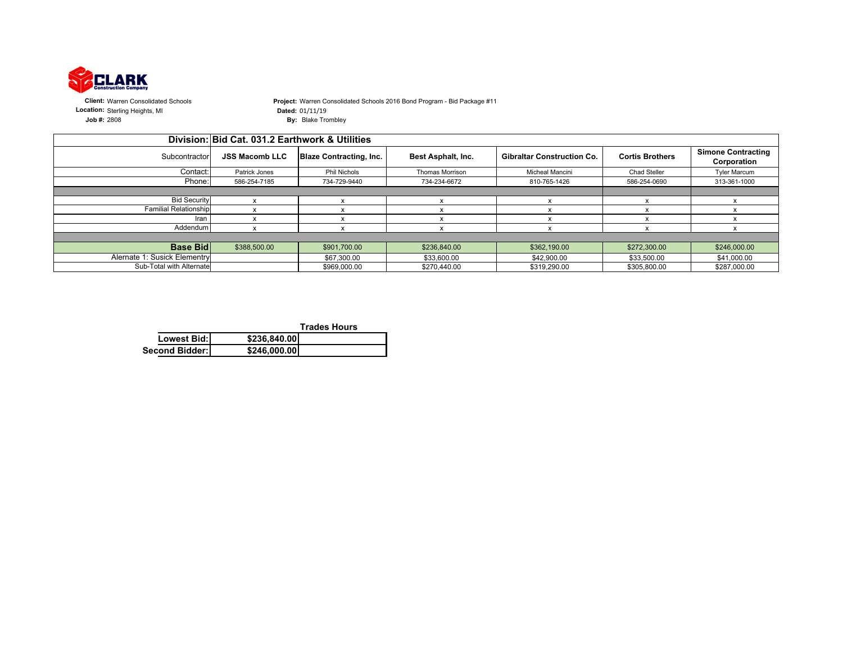

**Client: Warren Consolidated Schools Location:** Sterling Heights, MI**By:** Blake Trombley **Job #:** <sup>2808</sup>

Project: Warren Consolidated Schools 2016 Bond Program - Bid Package #11 **Dated:** 01/11/19

|                              | Division: Bid Cat. 031.2 Earthwork & Utilities |                                |                    |                                   |                        |                                          |
|------------------------------|------------------------------------------------|--------------------------------|--------------------|-----------------------------------|------------------------|------------------------------------------|
| Subcontractor                | <b>JSS Macomb LLC</b>                          | <b>Blaze Contracting, Inc.</b> | Best Asphalt, Inc. | <b>Gibraltar Construction Co.</b> | <b>Cortis Brothers</b> | <b>Simone Contracting</b><br>Corporation |
| Contact:                     | Patrick Jones                                  | Phil Nichols                   | Thomas Morrison    | Micheal Mancini                   | <b>Chad Steller</b>    | <b>Tyler Marcum</b>                      |
| Phone:                       | 586-254-7185                                   | 734-729-9440                   | 734-234-6672       | 810-765-1426                      | 586-254-0690           | 313-361-1000                             |
|                              |                                                |                                |                    |                                   |                        |                                          |
| <b>Bid Security</b>          |                                                |                                |                    |                                   |                        |                                          |
| <b>Familial Relationship</b> |                                                |                                |                    |                                   |                        |                                          |
| Iran                         |                                                |                                |                    |                                   |                        |                                          |
| Addendum                     |                                                |                                |                    |                                   |                        |                                          |
|                              |                                                |                                |                    |                                   |                        |                                          |
| <b>Base Bidl</b>             | \$388,500.00                                   | \$901,700.00                   | \$236,840.00       | \$362,190.00                      | \$272,300.00           | \$246,000.00                             |
| Alernate 1: Susick Elementry |                                                | \$67,300.00                    | \$33,600.00        | \$42,900.00                       | \$33,500.00            | \$41,000.00                              |
| Sub-Total with Alternate     |                                                | \$969,000.00                   | \$270,440.00       | \$319,290.00                      | \$305,800.00           | \$287,000.00                             |

|                    | <b>Trades Hours</b> |
|--------------------|---------------------|
| <b>Lowest Bid:</b> | \$236,840,00        |
| Second Bidder:     | \$246,000,00        |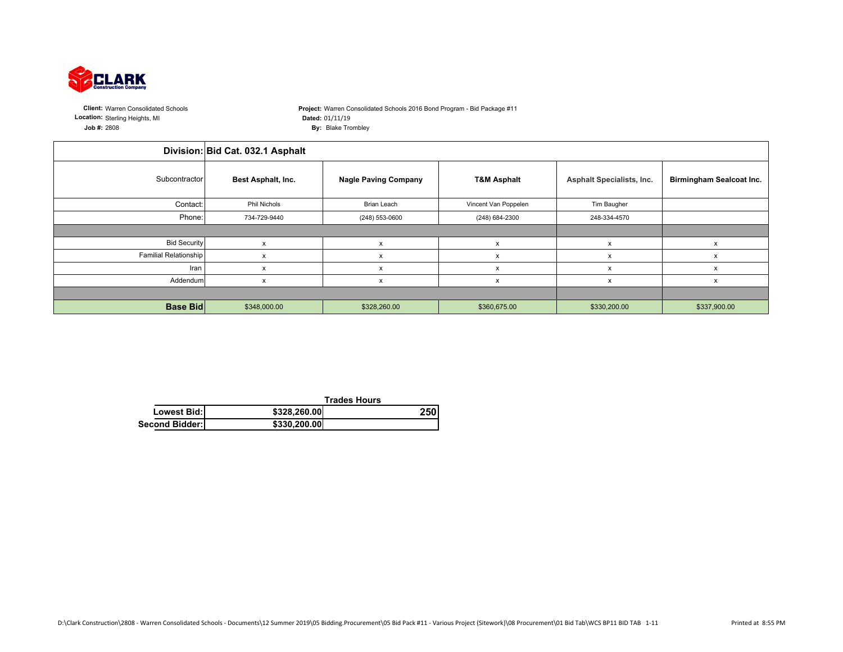

**Client: Warren Consolidated Schools Location:** Sterling Heights, MI**By:** Blake Trombley **Job #:** <sup>2808</sup>

Project: Warren Consolidated Schools 2016 Bond Program - Bid Package #11 **Dated:** 01/11/19

|                              | Division: Bid Cat. 032.1 Asphalt |                             |                        |                           |                                 |  |
|------------------------------|----------------------------------|-----------------------------|------------------------|---------------------------|---------------------------------|--|
| Subcontractor                | Best Asphalt, Inc.               | <b>Nagle Paving Company</b> | <b>T&amp;M Asphalt</b> | Asphalt Specialists, Inc. | <b>Birmingham Sealcoat Inc.</b> |  |
| Contact:                     | Phil Nichols                     | Brian Leach                 | Vincent Van Poppelen   | Tim Baugher               |                                 |  |
| Phone:                       | 734-729-9440                     | (248) 553-0600              | (248) 684-2300         | 248-334-4570              |                                 |  |
|                              |                                  |                             |                        |                           |                                 |  |
| <b>Bid Security</b>          | X                                | X                           | X                      | X                         |                                 |  |
| <b>Familial Relationship</b> | x                                | X                           | х                      | x                         | A                               |  |
| Iran                         | x                                | X                           | x                      | X                         | Y                               |  |
| Addendum                     | $\mathsf{x}$                     | x                           | х                      | x                         | x                               |  |
|                              |                                  |                             |                        |                           |                                 |  |
| <b>Base Bid</b>              | \$348,000.00                     | \$328,260.00                | \$360,675.00           | \$330,200.00              | \$337,900.00                    |  |

|                       |              | <b>Trades Hours</b> |
|-----------------------|--------------|---------------------|
| <b>Lowest Bid:</b>    | \$328,260.00 | 250                 |
| <b>Second Bidder:</b> | \$330,200,00 |                     |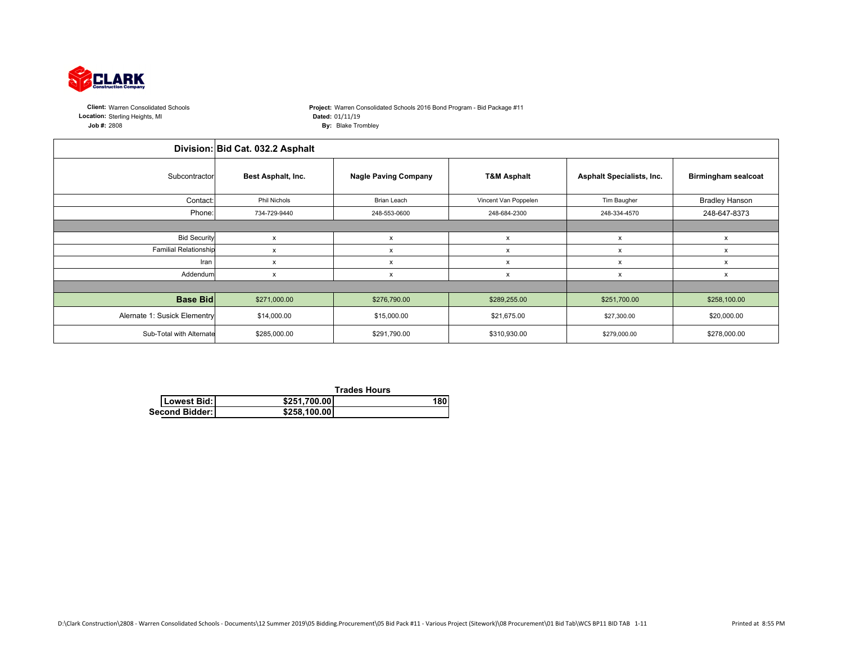

**Client: Warren Consolidated Schools Location:** Sterling Heights, MI**Job #:** <sup>2808</sup>

Project: Warren Consolidated Schools 2016 Bond Program - Bid Package #11 **Dated:** 01/11/19**By:** Blake Trombley

|                              | Division: Bid Cat. 032.2 Asphalt |                             |                        |                                  |                            |  |  |
|------------------------------|----------------------------------|-----------------------------|------------------------|----------------------------------|----------------------------|--|--|
| Subcontractor                | Best Asphalt, Inc.               | <b>Nagle Paving Company</b> | <b>T&amp;M Asphalt</b> | <b>Asphalt Specialists, Inc.</b> | <b>Birmingham sealcoat</b> |  |  |
| Contact:                     | Phil Nichols                     | Brian Leach                 | Vincent Van Poppelen   | Tim Baugher                      | <b>Bradley Hanson</b>      |  |  |
| Phone:                       | 734-729-9440                     | 248-553-0600                | 248-684-2300           | 248-334-4570                     | 248-647-8373               |  |  |
|                              |                                  |                             |                        |                                  |                            |  |  |
| <b>Bid Security</b>          | $\boldsymbol{\mathsf{x}}$        | х                           | х                      | х                                | х                          |  |  |
| <b>Familial Relationship</b> | х                                | x                           | X                      | х                                | х                          |  |  |
| Iran                         | $\mathsf{x}$                     | х                           | х                      | х                                | х                          |  |  |
| Addendum                     | $\mathsf{x}$                     | х                           | х                      | х                                | х                          |  |  |
|                              |                                  |                             |                        |                                  |                            |  |  |
| <b>Base Bid</b>              | \$271,000.00                     | \$276,790.00                | \$289,255.00           | \$251,700.00                     | \$258,100.00               |  |  |
| Alernate 1: Susick Elementry | \$14,000.00                      | \$15,000.00                 | \$21,675.00            | \$27,300.00                      | \$20,000.00                |  |  |
| Sub-Total with Alternate     | \$285,000.00                     | \$291,790.00                | \$310,930.00           | \$279,000.00                     | \$278,000.00               |  |  |

|                |              | <b>Trades Hours</b> |
|----------------|--------------|---------------------|
| Lowest Bid:    | \$251.700.00 | 180                 |
| Second Bidder: | \$258.100.00 |                     |
|                |              |                     |